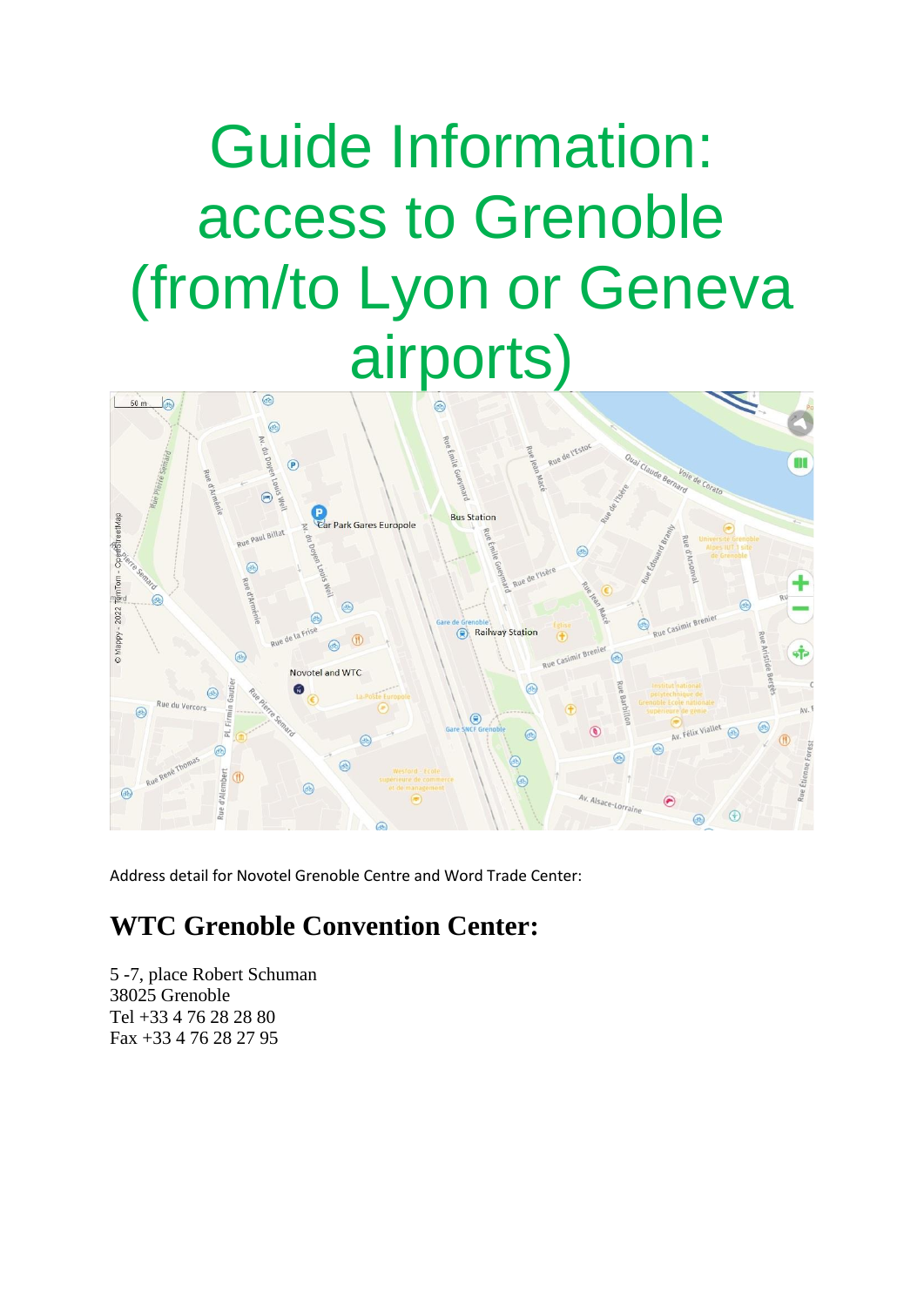## Guide Information: access to Grenoble (from/to Lyon or Geneva airports)



Address detail for Novotel Grenoble Centre and Word Trade Center:

## **WTC Grenoble Convention Center:**

5 -7, place Robert Schuman 38025 Grenoble Tel +33 4 76 28 28 80 Fax +33 4 76 28 27 95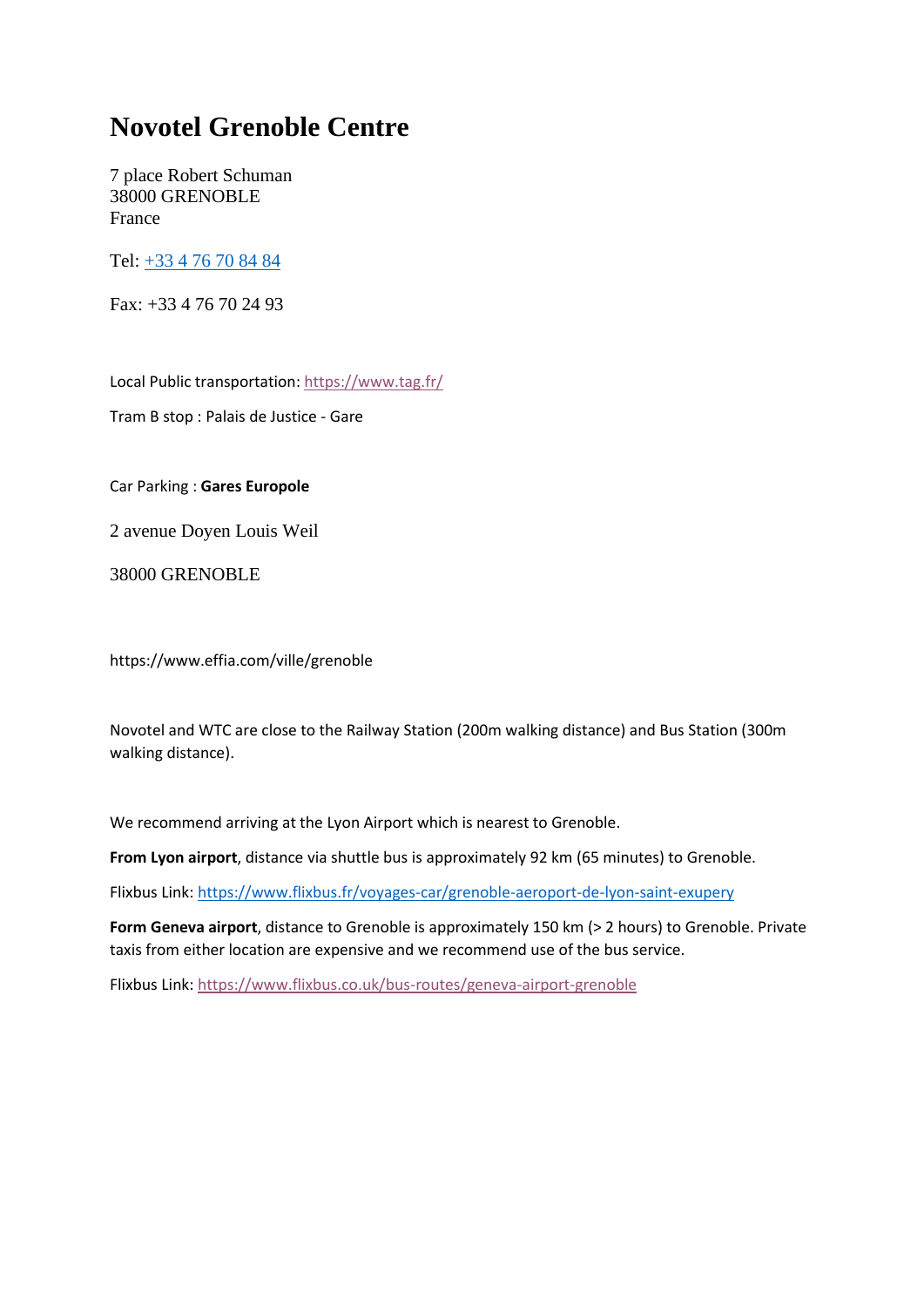## **Novotel Grenoble Centre**

7 place Robert Schuman 38000 GRENOBLE France

Tel: [+33 4 76 70 84 84](tel:+33-4-76-70-84-84) 

Fax: +33 4 76 70 24 93

Local Public transportation:<https://www.tag.fr/>

Tram B stop : Palais de Justice - Gare

Car Parking : **Gares Europole**

2 avenue Doyen Louis Weil

38000 GRENOBLE

https://www.effia.com/ville/grenoble

Novotel and WTC are close to the Railway Station (200m walking distance) and Bus Station (300m walking distance).

We recommend arriving at the Lyon Airport which is nearest to Grenoble.

**From Lyon airport**, distance via shuttle bus is approximately 92 km (65 minutes) to Grenoble.

Flixbus Link[: https://www.flixbus.fr/voyages-car/grenoble-aeroport-de-lyon-saint-exupery](https://www.flixbus.fr/voyages-car/grenoble-aeroport-de-lyon-saint-exupery)

**Form Geneva airport**, distance to Grenoble is approximately 150 km (> 2 hours) to Grenoble. Private taxis from either location are expensive and we recommend use of the bus service.

Flixbus Link:<https://www.flixbus.co.uk/bus-routes/geneva-airport-grenoble>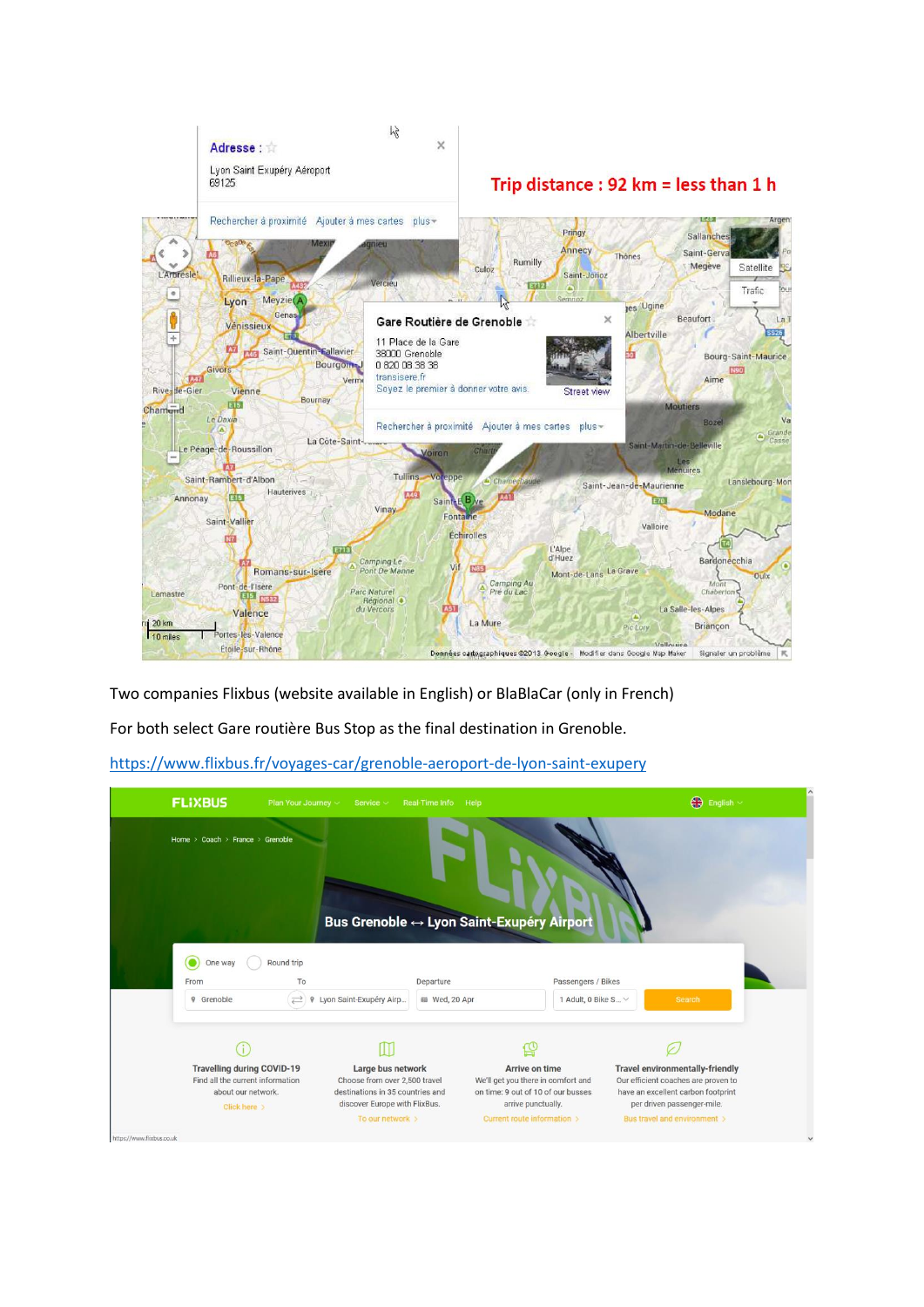

Two companies Flixbus (website available in English) or BlaBlaCar (only in French)

For both select Gare routière Bus Stop as the final destination in Grenoble.

<https://www.flixbus.fr/voyages-car/grenoble-aeroport-de-lyon-saint-exupery>